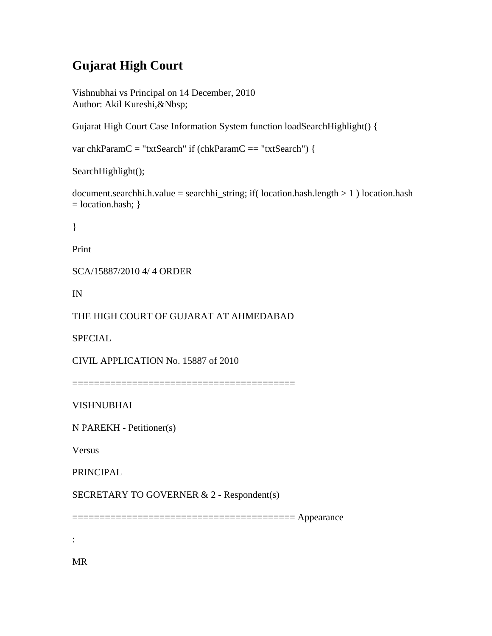# **Gujarat High Court**

Vishnubhai vs Principal on 14 December, 2010 Author: Akil Kureshi,&Nbsp;

Gujarat High Court Case Information System function loadSearchHighlight() {

```
var chkParamC = "txtSearch" if (chkParamC == "txtSearch") {
```
SearchHighlight();

document.searchhi.h.value = searchhi\_string; if( location.hash.length  $> 1$  ) location.hash  $=$  location.hash;  $\}$ 

}

Print

SCA/15887/2010 4/ 4 ORDER

IN

THE HIGH COURT OF GUJARAT AT AHMEDABAD

SPECIAL

CIVIL APPLICATION No. 15887 of 2010

=========================================

VISHNUBHAI

N PAREKH - Petitioner(s)

Versus

PRINCIPAL

SECRETARY TO GOVERNER & 2 - Respondent(s)

========================================= Appearance

:

MR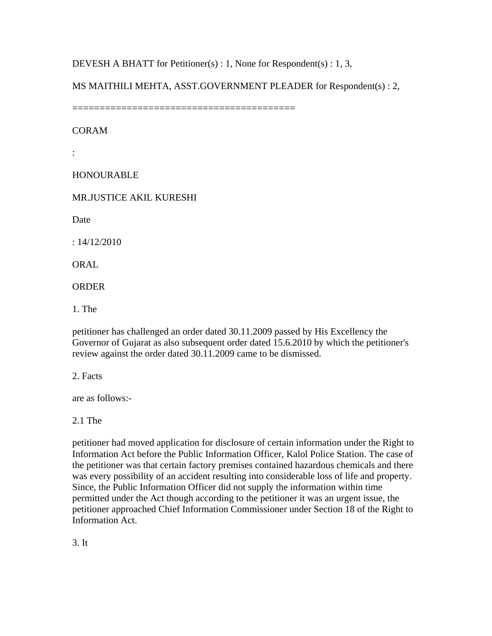DEVESH A BHATT for Petitioner(s) : 1, None for Respondent(s) : 1, 3,

MS MAITHILI MEHTA, ASST.GOVERNMENT PLEADER for Respondent(s) : 2,

=========================================

CORAM

:

HONOURABLE

MR.JUSTICE AKIL KURESHI

Date

: 14/12/2010

**ORAL** 

ORDER

1. The

petitioner has challenged an order dated 30.11.2009 passed by His Excellency the Governor of Gujarat as also subsequent order dated 15.6.2010 by which the petitioner's review against the order dated 30.11.2009 came to be dismissed.

2. Facts

are as follows:-

2.1 The

petitioner had moved application for disclosure of certain information under the Right to Information Act before the Public Information Officer, Kalol Police Station. The case of the petitioner was that certain factory premises contained hazardous chemicals and there was every possibility of an accident resulting into considerable loss of life and property. Since, the Public Information Officer did not supply the information within time permitted under the Act though according to the petitioner it was an urgent issue, the petitioner approached Chief Information Commissioner under Section 18 of the Right to Information Act.

3. It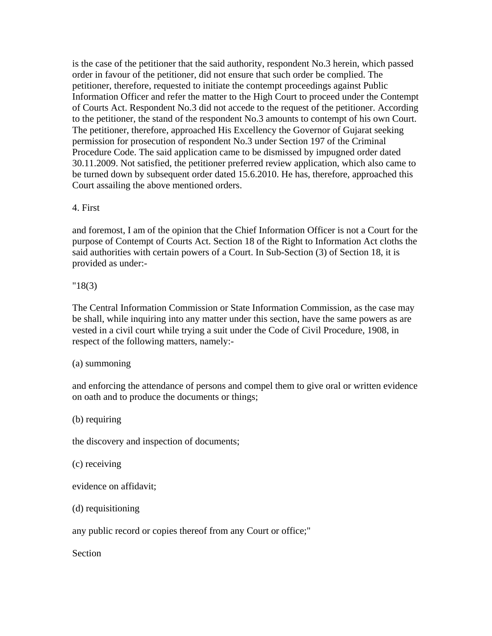is the case of the petitioner that the said authority, respondent No.3 herein, which passed order in favour of the petitioner, did not ensure that such order be complied. The petitioner, therefore, requested to initiate the contempt proceedings against Public Information Officer and refer the matter to the High Court to proceed under the Contempt of Courts Act. Respondent No.3 did not accede to the request of the petitioner. According to the petitioner, the stand of the respondent No.3 amounts to contempt of his own Court. The petitioner, therefore, approached His Excellency the Governor of Gujarat seeking permission for prosecution of respondent No.3 under Section 197 of the Criminal Procedure Code. The said application came to be dismissed by impugned order dated 30.11.2009. Not satisfied, the petitioner preferred review application, which also came to be turned down by subsequent order dated 15.6.2010. He has, therefore, approached this Court assailing the above mentioned orders.

## 4. First

and foremost, I am of the opinion that the Chief Information Officer is not a Court for the purpose of Contempt of Courts Act. Section 18 of the Right to Information Act cloths the said authorities with certain powers of a Court. In Sub-Section (3) of Section 18, it is provided as under:-

## "18(3)

The Central Information Commission or State Information Commission, as the case may be shall, while inquiring into any matter under this section, have the same powers as are vested in a civil court while trying a suit under the Code of Civil Procedure, 1908, in respect of the following matters, namely:-

#### (a) summoning

and enforcing the attendance of persons and compel them to give oral or written evidence on oath and to produce the documents or things;

(b) requiring

the discovery and inspection of documents;

(c) receiving

evidence on affidavit;

(d) requisitioning

any public record or copies thereof from any Court or office;"

Section